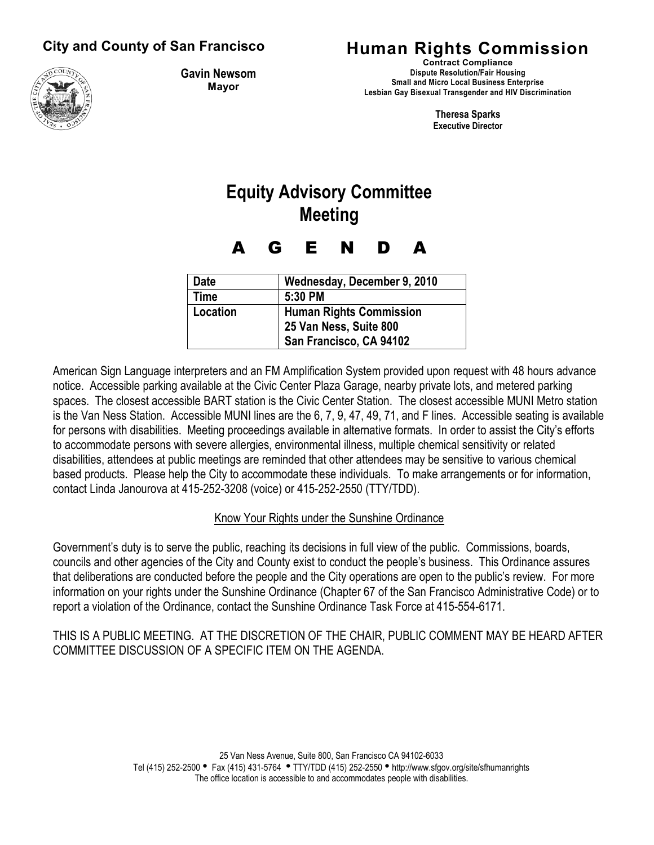### **City and County of San Francisco**



**Gavin Newsom Mayor**

## **Human Rights Commission**

**Contract Compliance Dispute Resolution/Fair Housing Small and Micro Local Business Enterprise Lesbian Gay Bisexual Transgender and HIV Discrimination** 

> **Theresa Sparks Executive Director**

# **Equity Advisory Committee Meeting**

A G E N D A

| <b>Date</b> | Wednesday, December 9, 2010    |
|-------------|--------------------------------|
| <b>Time</b> | $5:30$ PM                      |
| Location    | <b>Human Rights Commission</b> |
|             | 25 Van Ness, Suite 800         |
|             | San Francisco, CA 94102        |

American Sign Language interpreters and an FM Amplification System provided upon request with 48 hours advance notice. Accessible parking available at the Civic Center Plaza Garage, nearby private lots, and metered parking spaces. The closest accessible BART station is the Civic Center Station. The closest accessible MUNI Metro station is the Van Ness Station. Accessible MUNI lines are the 6, 7, 9, 47, 49, 71, and F lines. Accessible seating is available for persons with disabilities. Meeting proceedings available in alternative formats. In order to assist the City's efforts to accommodate persons with severe allergies, environmental illness, multiple chemical sensitivity or related disabilities, attendees at public meetings are reminded that other attendees may be sensitive to various chemical based products. Please help the City to accommodate these individuals. To make arrangements or for information, contact Linda Janourova at 415-252-3208 (voice) or 415-252-2550 (TTY/TDD).

#### Know Your Rights under the Sunshine Ordinance

Government's duty is to serve the public, reaching its decisions in full view of the public. Commissions, boards, councils and other agencies of the City and County exist to conduct the people's business. This Ordinance assures that deliberations are conducted before the people and the City operations are open to the public's review. For more information on your rights under the Sunshine Ordinance (Chapter 67 of the San Francisco Administrative Code) or to report a violation of the Ordinance, contact the Sunshine Ordinance Task Force at 415-554-6171.

THIS IS A PUBLIC MEETING. AT THE DISCRETION OF THE CHAIR, PUBLIC COMMENT MAY BE HEARD AFTER COMMITTEE DISCUSSION OF A SPECIFIC ITEM ON THE AGENDA.